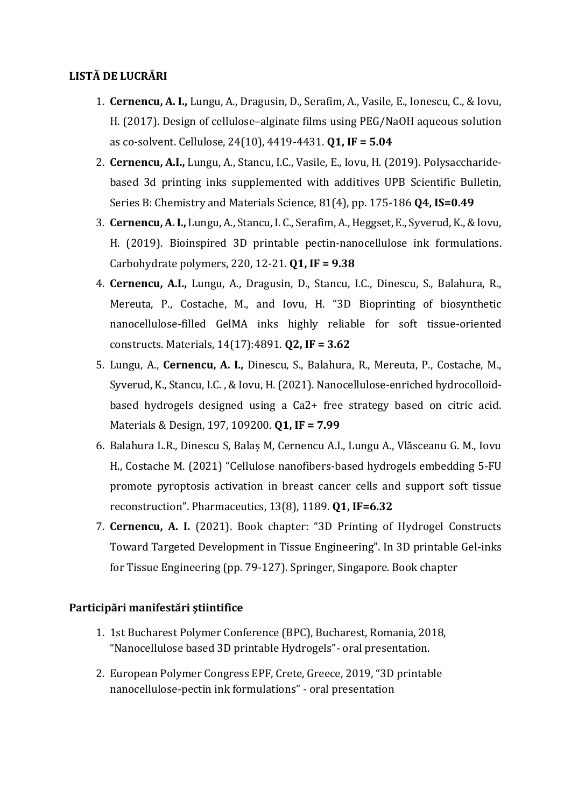## **LISTĂ DE LUCRĂRI**

- 1. **Cernencu, A. I.,** Lungu, A., Dragusin, D., Serafim, A., Vasile, E., Ionescu, C., & Iovu, H. (2017). Design of cellulose–alginate films using PEG/NaOH aqueous solution as co-solvent. Cellulose, 24(10), 4419-4431. **Q1, IF = 5.04**
- 2. **Cernencu, A.I.,** Lungu, A., Stancu, I.C., Vasile, E., Iovu, H. (2019). Polysaccharidebased 3d printing inks supplemented with additives UPB Scientific Bulletin, Series B: Chemistry and Materials Science, 81(4), pp. 175-186 **Q4, IS=0.49**
- 3. **Cernencu, A. I.,** Lungu, A., Stancu, I. C., Serafim, A., Heggset, E., Syverud, K., & Iovu, H. (2019). Bioinspired 3D printable pectin-nanocellulose ink formulations. Carbohydrate polymers, 220, 12-21. **Q1, IF = 9.38**
- 4. **Cernencu, A.I.,** Lungu, A., Dragusin, D., Stancu, I.C., Dinescu, S., Balahura, R., Mereuta, P., Costache, M., and Iovu, H. "3D Bioprinting of biosynthetic nanocellulose-filled GelMA inks highly reliable for soft tissue-oriented constructs. Materials, 14(17):4891. **Q2, IF = 3.62**
- 5. Lungu, A., **Cernencu, A. I.,** Dinescu, S., Balahura, R., Mereuta, P., Costache, M., Syverud, K., Stancu, I.C. , & Iovu, H. (2021). Nanocellulose-enriched hydrocolloidbased hydrogels designed using a Ca2+ free strategy based on citric acid. Materials & Design, 197, 109200. **Q1, IF = 7.99**
- 6. Balahura L.R., Dinescu S, Balaș M, Cernencu A.I., Lungu A., Vlăsceanu G. M., Iovu H., Costache M. (2021) "Cellulose nanofibers-based hydrogels embedding 5-FU promote pyroptosis activation in breast cancer cells and support soft tissue reconstruction". Pharmaceutics, 13(8), 1189. **Q1, IF=6.32**
- 7. **Cernencu, A. I.** (2021). Book chapter: "3D Printing of Hydrogel Constructs Toward Targeted Development in Tissue Engineering". In 3D printable Gel-inks for Tissue Engineering (pp. 79-127). Springer, Singapore. Book chapter

## **Participări manifestări ştiintifice**

- 1. 1st Bucharest Polymer Conference (BPC), Bucharest, Romania, 2018, "Nanocellulose based 3D printable Hydrogels"- oral presentation.
- 2. European Polymer Congress EPF, Crete, Greece, 2019, "3D printable nanocellulose-pectin ink formulations" - oral presentation